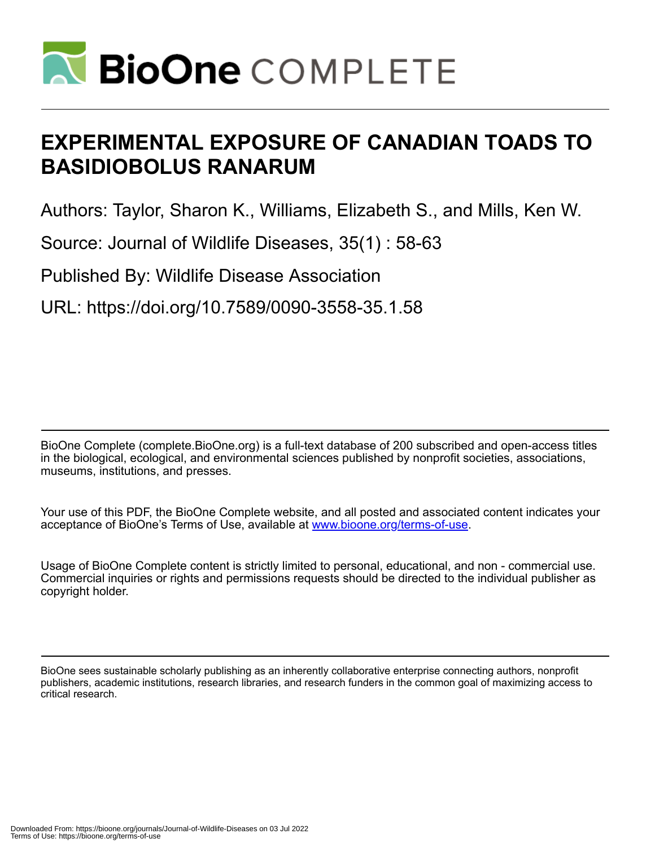

# **EXPERIMENTAL EXPOSURE OF CANADIAN TOADS TO BASIDIOBOLUS RANARUM**

Authors: Taylor, Sharon K., Williams, Elizabeth S., and Mills, Ken W.

Source: Journal of Wildlife Diseases, 35(1) : 58-63

Published By: Wildlife Disease Association

URL: https://doi.org/10.7589/0090-3558-35.1.58

BioOne Complete (complete.BioOne.org) is a full-text database of 200 subscribed and open-access titles in the biological, ecological, and environmental sciences published by nonprofit societies, associations, museums, institutions, and presses.

Your use of this PDF, the BioOne Complete website, and all posted and associated content indicates your acceptance of BioOne's Terms of Use, available at www.bioone.org/terms-of-use.

Usage of BioOne Complete content is strictly limited to personal, educational, and non - commercial use. Commercial inquiries or rights and permissions requests should be directed to the individual publisher as copyright holder.

BioOne sees sustainable scholarly publishing as an inherently collaborative enterprise connecting authors, nonprofit publishers, academic institutions, research libraries, and research funders in the common goal of maximizing access to critical research.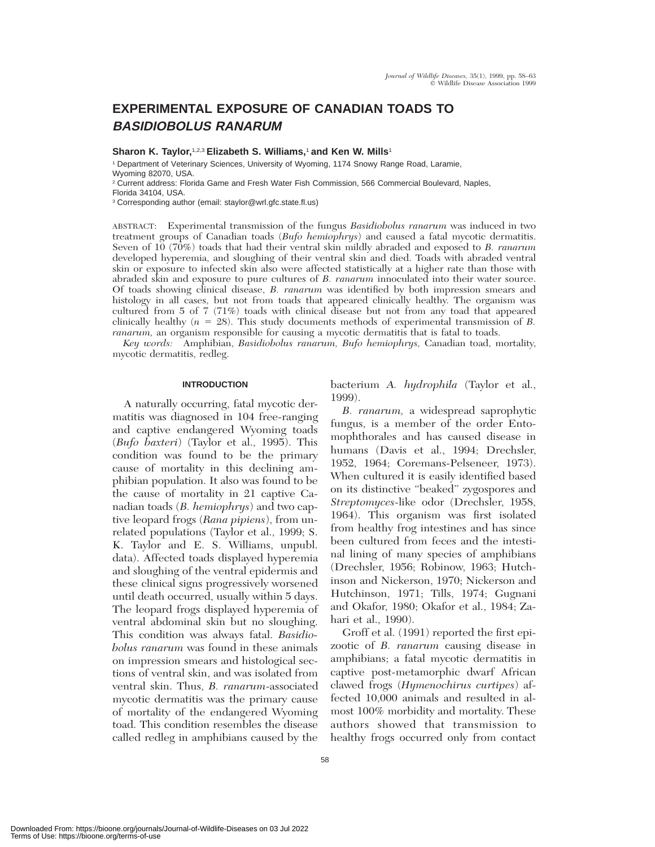# **EXPERIMENTAL EXPOSURE OF CANADIAN TOADS TO BASIDIOBOLUS RANARUM**

**Sharon K. Taylor,**1,2,3 **Elizabeth S. Williams,**<sup>1</sup> **and Ken W. Mills**<sup>1</sup>

<sup>1</sup> Department of Veterinary Sciences, University of Wyoming, 1174 Snowy Range Road, Laramie, Wyoming 82070, USA.

<sup>2</sup> Current address: Florida Game and Fresh Water Fish Commission, 566 Commercial Boulevard, Naples,

Florida 34104, USA.

<sup>3</sup> Corresponding author (email: staylor@wrl.gfc.state.fl.us)

ABSTRACT: Experimental transmission of the fungus *Basidiobolus ranarum* was induced in two treatment groups of Canadian toads (*Bufo hemiophrys*) and caused a fatal mycotic dermatitis. Seven of 10 (70%) toads that had their ventral skin mildly abraded and exposed to *B. ranarum* developed hyperemia, and sloughing of their ventral skin and died. Toads with abraded ventral skin or exposure to infected skin also were affected statistically at a higher rate than those with abraded skin and exposure to pure cultures of *B. ranarum* innoculated into their water source. Of toads showing clinical disease, *B. ranarum* was identified by both impression smears and histology in all cases, but not from toads that appeared clinically healthy. The organism was cultured from 5 of 7 (71%) toads with clinical disease but not from any toad that appeared clinically healthy (*n* 5 28). This study documents methods of experimental transmission of *B. ranarum,* an organism responsible for causing a mycotic dermatitis that is fatal to toads.

*Key words:* Amphibian, *Basidiobolus ranarum, Bufo hemiophrys,* Canadian toad, mortality, mycotic dermatitis, redleg.

#### **INTRODUCTION**

A naturally occurring, fatal mycotic dermatitis was diagnosed in 104 free-ranging and captive endangered Wyoming toads (*Bufo baxteri*) (Taylor et al., 1995). This condition was found to be the primary cause of mortality in this declining amphibian population. It also was found to be the cause of mortality in 21 captive Canadian toads (*B. hemiophrys*) and two captive leopard frogs (*Rana pipiens*), from unrelated populations (Taylor et al., 1999; S. K. Taylor and E. S. Williams, unpubl. data). Affected toads displayed hyperemia and sloughing of the ventral epidermis and these clinical signs progressively worsened until death occurred, usually within 5 days. The leopard frogs displayed hyperemia of ventral abdominal skin but no sloughing. This condition was always fatal. *Basidiobolus ranarum* was found in these animals on impression smears and histological sections of ventral skin, and was isolated from ventral skin. Thus, *B. ranarum*-associated mycotic dermatitis was the primary cause of mortality of the endangered Wyoming toad. This condition resembles the disease called redleg in amphibians caused by the

bacterium *A. hydrophila* (Taylor et al., 1999).

*B. ranarum,* a widespread saprophytic fungus, is a member of the order Entomophthorales and has caused disease in humans (Davis et al., 1994; Drechsler, 1952, 1964; Coremans-Pelseneer, 1973). When cultured it is easily identified based on its distinctive ''beaked'' zygospores and *Streptomyces*-like odor (Drechsler, 1958, 1964). This organism was first isolated from healthy frog intestines and has since been cultured from feces and the intestinal lining of many species of amphibians (Drechsler, 1956; Robinow, 1963; Hutchinson and Nickerson, 1970; Nickerson and Hutchinson, 1971; Tills, 1974; Gugnani and Okafor, 1980; Okafor et al., 1984; Zahari et al., 1990).

Groff et al. (1991) reported the first epizootic of *B. ranarum* causing disease in amphibians; a fatal mycotic dermatitis in captive post-metamorphic dwarf African clawed frogs (*Hymenochirus curtipes*) affected 10,000 animals and resulted in almost 100% morbidity and mortality. These authors showed that transmission to healthy frogs occurred only from contact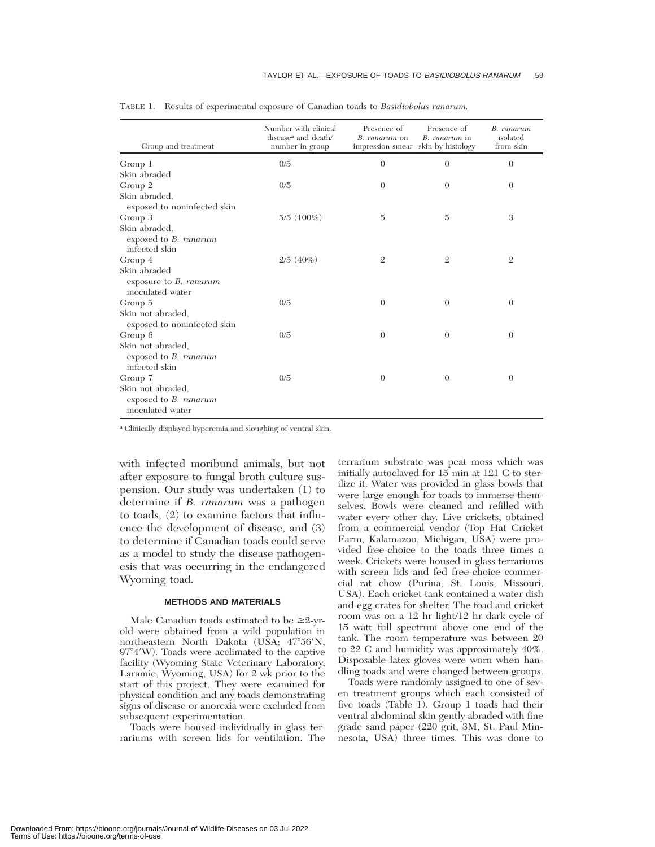| Group and treatment                                                   | Number with clinical<br>disease <sup>a</sup> and death/<br>number in group | Presence of<br>B. ranarum on<br>impression smear | Presence of<br>B. ranarum in<br>skin by histology | B. ranarum<br>isolated<br>from skin |
|-----------------------------------------------------------------------|----------------------------------------------------------------------------|--------------------------------------------------|---------------------------------------------------|-------------------------------------|
| Group 1                                                               | 0/5                                                                        | $\theta$                                         | $\theta$                                          | $\theta$                            |
| Skin abraded                                                          |                                                                            |                                                  |                                                   |                                     |
| Group 2                                                               | 0/5                                                                        | $\theta$                                         | $\theta$                                          | $\theta$                            |
| Skin abraded,<br>exposed to noninfected skin                          |                                                                            |                                                  |                                                   |                                     |
| Group 3                                                               | $5/5(100\%)$                                                               | $\overline{5}$                                   | $\overline{5}$                                    | 3                                   |
| Skin abraded,<br>exposed to B. ranarum<br>infected skin               |                                                                            |                                                  |                                                   |                                     |
| Group 4                                                               | $2/5(40\%)$                                                                | $\mathfrak{2}$                                   | $\mathbf{2}$                                      | $\overline{2}$                      |
| Skin abraded<br>exposure to $B.$ ranarum<br>inoculated water          |                                                                            |                                                  |                                                   |                                     |
| Group 5                                                               | 0/5                                                                        | $\overline{0}$                                   | $\theta$                                          | $\theta$                            |
| Skin not abraded,<br>exposed to noninfected skin                      |                                                                            |                                                  |                                                   |                                     |
| Group 6                                                               | 0/5                                                                        | $\theta$                                         | $\theta$                                          | $\theta$                            |
| Skin not abraded,<br>exposed to B. ranarum<br>infected skin           |                                                                            |                                                  |                                                   |                                     |
| Group 7                                                               | 0/5                                                                        | $\theta$                                         | $\theta$                                          | $\Omega$                            |
| Skin not abraded.<br>exposed to <i>B. ranarum</i><br>inoculated water |                                                                            |                                                  |                                                   |                                     |

TABLE 1. Results of experimental exposure of Canadian toads to *Basidiobolus ranarum.*

<sup>a</sup> Clinically displayed hyperemia and sloughing of ventral skin.

with infected moribund animals, but not after exposure to fungal broth culture suspension. Our study was undertaken (1) to determine if *B. ranarum* was a pathogen to toads, (2) to examine factors that influence the development of disease, and (3) to determine if Canadian toads could serve as a model to study the disease pathogenesis that was occurring in the endangered Wyoming toad.

## **METHODS AND MATERIALS**

Male Canadian toads estimated to be  $\geq 2$ -yrold were obtained from a wild population in northeastern North Dakota (USA;  $47^{\circ}56'$ N, 97°4'W). Toads were acclimated to the captive facility (Wyoming State Veterinary Laboratory, Laramie, Wyoming, USA) for 2 wk prior to the start of this project. They were examined for physical condition and any toads demonstrating signs of disease or anorexia were excluded from subsequent experimentation.

Toads were housed individually in glass terrariums with screen lids for ventilation. The terrarium substrate was peat moss which was initially autoclaved for 15 min at 121 C to sterilize it. Water was provided in glass bowls that were large enough for toads to immerse themselves. Bowls were cleaned and refilled with water every other day. Live crickets, obtained from a commercial vendor (Top Hat Cricket Farm, Kalamazoo, Michigan, USA) were provided free-choice to the toads three times a week. Crickets were housed in glass terrariums with screen lids and fed free-choice commercial rat chow (Purina, St. Louis, Missouri, USA). Each cricket tank contained a water dish and egg crates for shelter. The toad and cricket room was on a 12 hr light/12 hr dark cycle of 15 watt full spectrum above one end of the tank. The room temperature was between 20 to 22 C and humidity was approximately 40%. Disposable latex gloves were worn when handling toads and were changed between groups.

Toads were randomly assigned to one of seven treatment groups which each consisted of five toads (Table 1). Group 1 toads had their ventral abdominal skin gently abraded with fine grade sand paper (220 grit, 3M, St. Paul Minnesota, USA) three times. This was done to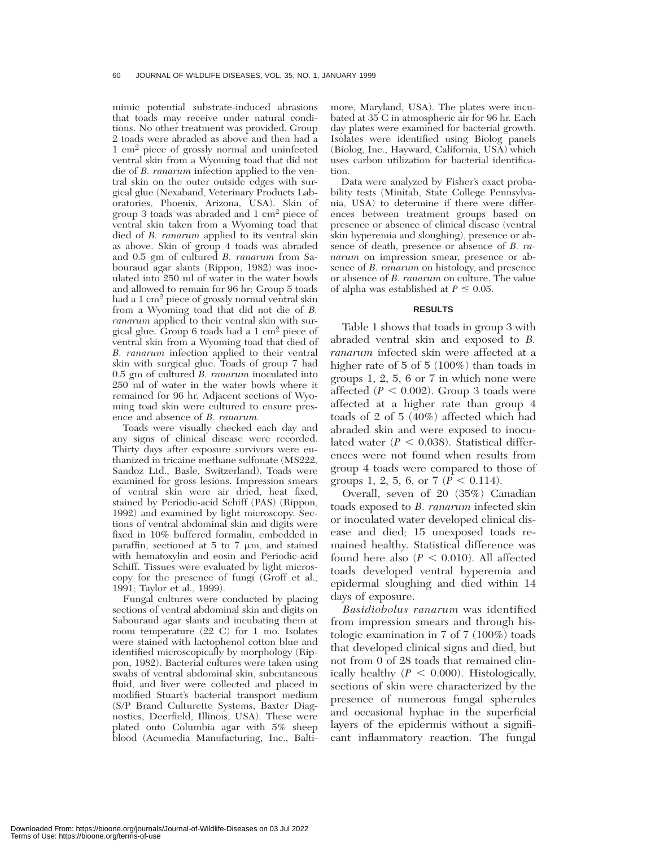mimic potential substrate-induced abrasions that toads may receive under natural conditions. No other treatment was provided. Group 2 toads were abraded as above and then had a 1 cm2 piece of grossly normal and uninfected ventral skin from a Wyoming toad that did not die of *B. ranarum* infection applied to the ventral skin on the outer outside edges with surgical glue (Nexaband, Veterinary Products Laboratories, Phoenix, Arizona, USA). Skin of group 3 toads was abraded and 1 cm<sup>2</sup> piece of ventral skin taken from a Wyoming toad that died of *B. ranarum* applied to its ventral skin as above. Skin of group 4 toads was abraded and 0.5 gm of cultured *B. ranarum* from Sabouraud agar slants (Rippon, 1982) was inoculated into 250 ml of water in the water bowls and allowed to remain for 96 hr; Group 5 toads had a 1 cm2 piece of grossly normal ventral skin from a Wyoming toad that did not die of *B. ranarum* applied to their ventral skin with surgical glue. Group 6 toads had a 1 cm<sup>2</sup> piece of ventral skin from a Wyoming toad that died of *B. ranarum* infection applied to their ventral skin with surgical glue. Toads of group 7 had 0.5 gm of cultured *B. ranarum* inoculated into 250 ml of water in the water bowls where it remained for 96 hr. Adjacent sections of Wyoming toad skin were cultured to ensure presence and absence of *B. ranarum.*

Toads were visually checked each day and any signs of clinical disease were recorded. Thirty days after exposure survivors were euthanized in tricaine methane sulfonate (MS222, Sandoz Ltd., Basle, Switzerland). Toads were examined for gross lesions. Impression smears of ventral skin were air dried, heat fixed, stained by Periodic-acid Schiff (PAS) (Rippon, 1992) and examined by light microscopy. Sections of ventral abdominal skin and digits were fixed in 10% buffered formalin, embedded in paraffin, sectioned at  $5$  to  $7 \mu m$ , and stained with hematoxylin and eosin and Periodic-acid Schiff. Tissues were evaluated by light microscopy for the presence of fungi (Groff et al., 1991; Taylor et al., 1999).

Fungal cultures were conducted by placing sections of ventral abdominal skin and digits on Sabouraud agar slants and incubating them at room temperature (22 C) for 1 mo. Isolates were stained with lactophenol cotton blue and identified microscopically by morphology (Rippon, 1982). Bacterial cultures were taken using swabs of ventral abdominal skin, subcutaneous fluid, and liver were collected and placed in modified Stuart's bacterial transport medium (S/P Brand Culturette Systems, Baxter Diagnostics, Deerfield, Illinois, USA). These were plated onto Columbia agar with 5% sheep blood (Acumedia Manufacturing, Inc., Balti-

more, Maryland, USA). The plates were incubated at 35 C in atmospheric air for 96 hr. Each day plates were examined for bacterial growth. Isolates were identified using Biolog panels (Biolog, Inc., Hayward, California, USA) which uses carbon utilization for bacterial identification.

Data were analyzed by Fisher's exact probability tests (Minitab, State College Pennsylvania, USA) to determine if there were differences between treatment groups based on presence or absence of clinical disease (ventral skin hyperemia and sloughing), presence or absence of death, presence or absence of *B. ranarum* on impression smear, presence or absence of *B. ranarum* on histology, and presence or absence of *B. ranarum* on culture. The value of alpha was established at  $P \leq 0.05$ .

#### **RESULTS**

Table 1 shows that toads in group 3 with abraded ventral skin and exposed to *B. ranarum* infected skin were affected at a higher rate of 5 of 5 (100%) than toads in groups 1, 2, 5, 6 or 7 in which none were affected  $(P < 0.002)$ . Group 3 toads were affected at a higher rate than group 4 toads of 2 of 5 (40%) affected which had abraded skin and were exposed to inoculated water  $(P < 0.038)$ . Statistical differences were not found when results from group 4 toads were compared to those of groups 1, 2, 5, 6, or 7 ( $P < 0.114$ ).

Overall, seven of 20 (35%) Canadian toads exposed to *B. ranarum* infected skin or inoculated water developed clinical disease and died; 15 unexposed toads remained healthy. Statistical difference was found here also  $(P < 0.010)$ . All affected toads developed ventral hyperemia and epidermal sloughing and died within 14 days of exposure.

*Basidiobolus ranarum* was identified from impression smears and through histologic examination in 7 of 7 (100%) toads that developed clinical signs and died, but not from 0 of 28 toads that remained clinically healthy  $(P < 0.000)$ . Histologically, sections of skin were characterized by the presence of numerous fungal spherules and occasional hyphae in the superficial layers of the epidermis without a significant inflammatory reaction. The fungal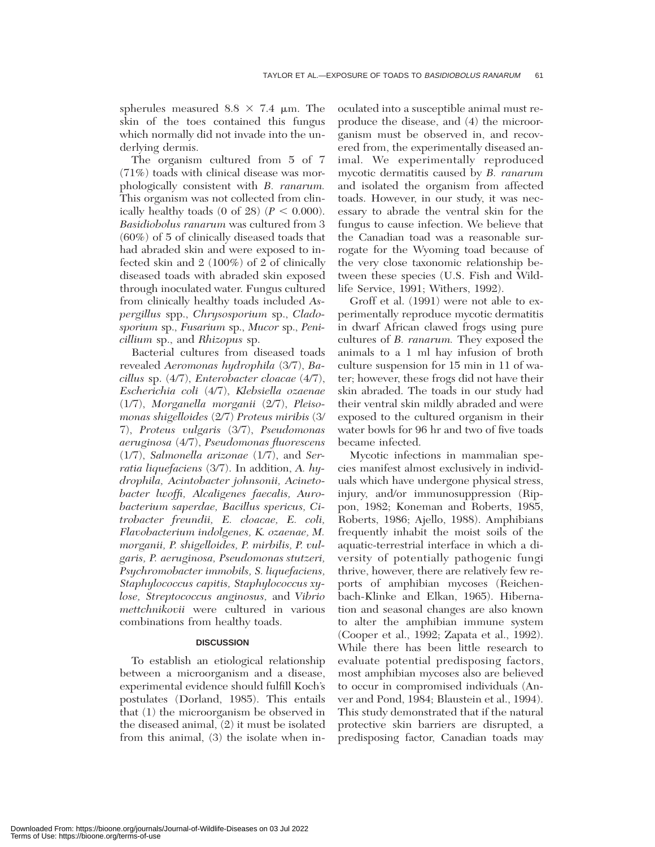spherules measured  $8.8 \times 7.4 \mu m$ . The skin of the toes contained this fungus which normally did not invade into the underlying dermis.

The organism cultured from 5 of 7 (71%) toads with clinical disease was morphologically consistent with *B. ranarum.* This organism was not collected from clinically healthy toads  $(0 \text{ of } 28)$   $(P < 0.000)$ . *Basidiobolus ranarum* was cultured from 3 (60%) of 5 of clinically diseased toads that had abraded skin and were exposed to infected skin and 2 (100%) of 2 of clinically diseased toads with abraded skin exposed through inoculated water. Fungus cultured from clinically healthy toads included *Aspergillus* spp., *Chrysosporium* sp., *Cladosporium* sp., *Fusarium* sp., *Mucor* sp., *Penicillium* sp., and *Rhizopus* sp.

Bacterial cultures from diseased toads revealed *Aeromonas hydrophila* (3/7), *Bacillus* sp. (4/7), *Enterobacter cloacae* (4/7), *Escherichia coli* (4/7), *Klebsiella ozaenae* (1/7), *Morganella morganii* (2/7), *Pleisomonas shigelloides* (2/7) *Proteus miribis* (3/ 7), *Proteus vulgaris* (3/7), *Pseudomonas aeruginosa* (4/7), *Pseudomonas fluorescens* (1/7), *Salmonella arizonae* (1/7), and *Serratia liquefaciens* (3/7). In addition, *A. hydrophila, Acintobacter johnsonii, Acinetobacter lwoffi, Alcaligenes faecalis, Aurobacterium saperdae, Bacillus spericus, Citrobacter freundii, E. cloacae, E. coli, Flavobacterium indolgenes, K. ozaenae, M. morganii, P. shigelloides, P. mirbilis, P. vulgaris, P. aeruginosa, Pseudomonas stutzeri, Psychromobacter immobils, S. liquefaciens, Staphylococcus capitis, Staphylococcus xylose, Streptococcus anginosus,* and *Vibrio mettchnikovii* were cultured in various combinations from healthy toads.

## **DISCUSSION**

To establish an etiological relationship between a microorganism and a disease, experimental evidence should fulfill Koch's postulates (Dorland, 1985). This entails that (1) the microorganism be observed in the diseased animal, (2) it must be isolated from this animal, (3) the isolate when inoculated into a susceptible animal must reproduce the disease, and (4) the microorganism must be observed in, and recovered from, the experimentally diseased animal. We experimentally reproduced mycotic dermatitis caused by *B. ranarum* and isolated the organism from affected toads. However, in our study, it was necessary to abrade the ventral skin for the fungus to cause infection. We believe that the Canadian toad was a reasonable surrogate for the Wyoming toad because of the very close taxonomic relationship between these species (U.S. Fish and Wildlife Service, 1991; Withers, 1992).

Groff et al. (1991) were not able to experimentally reproduce mycotic dermatitis in dwarf African clawed frogs using pure cultures of *B. ranarum.* They exposed the animals to a 1 ml hay infusion of broth culture suspension for 15 min in 11 of water; however, these frogs did not have their skin abraded. The toads in our study had their ventral skin mildly abraded and were exposed to the cultured organism in their water bowls for 96 hr and two of five toads became infected.

Mycotic infections in mammalian species manifest almost exclusively in individuals which have undergone physical stress, injury, and/or immunosuppression (Rippon, 1982; Koneman and Roberts, 1985, Roberts, 1986; Ajello, 1988). Amphibians frequently inhabit the moist soils of the aquatic-terrestrial interface in which a diversity of potentially pathogenic fungi thrive, however, there are relatively few reports of amphibian mycoses (Reichenbach-Klinke and Elkan, 1965). Hibernation and seasonal changes are also known to alter the amphibian immune system (Cooper et al., 1992; Zapata et al., 1992). While there has been little research to evaluate potential predisposing factors, most amphibian mycoses also are believed to occur in compromised individuals (Anver and Pond, 1984; Blaustein et al., 1994). This study demonstrated that if the natural protective skin barriers are disrupted, a predisposing factor, Canadian toads may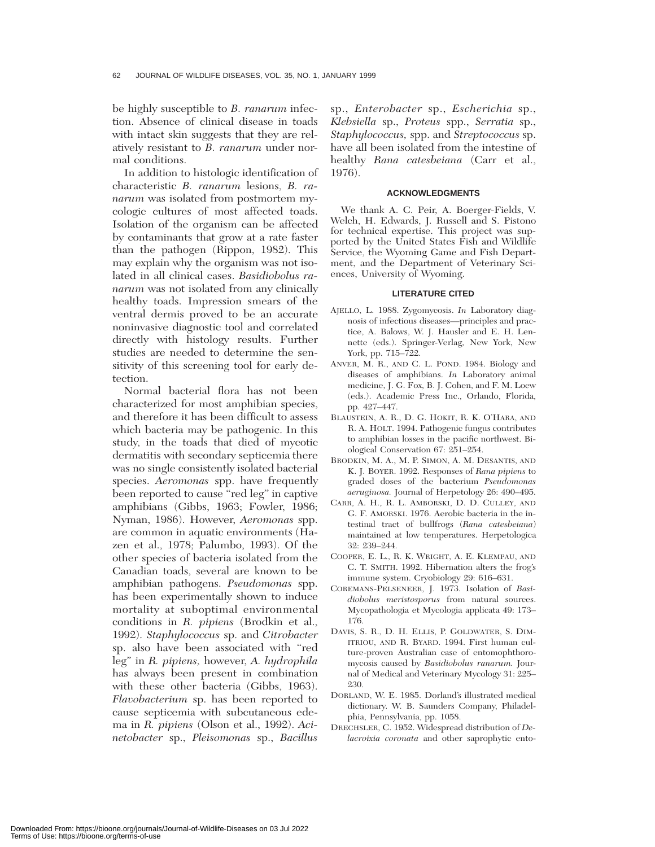be highly susceptible to *B. ranarum* infection. Absence of clinical disease in toads with intact skin suggests that they are relatively resistant to *B. ranarum* under normal conditions.

In addition to histologic identification of characteristic *B. ranarum* lesions, *B. ranarum* was isolated from postmortem mycologic cultures of most affected toads. Isolation of the organism can be affected by contaminants that grow at a rate faster than the pathogen (Rippon, 1982). This may explain why the organism was not isolated in all clinical cases. *Basidiobolus ranarum* was not isolated from any clinically healthy toads. Impression smears of the ventral dermis proved to be an accurate noninvasive diagnostic tool and correlated directly with histology results. Further studies are needed to determine the sensitivity of this screening tool for early detection.

Normal bacterial flora has not been characterized for most amphibian species, and therefore it has been difficult to assess which bacteria may be pathogenic. In this study, in the toads that died of mycotic dermatitis with secondary septicemia there was no single consistently isolated bacterial species. *Aeromonas* spp. have frequently been reported to cause "red leg" in captive amphibians (Gibbs, 1963; Fowler, 1986; Nyman, 1986). However, *Aeromonas* spp. are common in aquatic environments (Hazen et al., 1978; Palumbo, 1993). Of the other species of bacteria isolated from the Canadian toads, several are known to be amphibian pathogens. *Pseudomonas* spp. has been experimentally shown to induce mortality at suboptimal environmental conditions in *R. pipiens* (Brodkin et al., 1992). *Staphylococcus* sp. and *Citrobacter* sp. also have been associated with ''red leg'' in *R. pipiens,* however, *A. hydrophila* has always been present in combination with these other bacteria (Gibbs, 1963). *Flavobacterium* sp. has been reported to cause septicemia with subcutaneous edema in *R. pipiens* (Olson et al., 1992). *Acinetobacter* sp., *Pleisomonas* sp., *Bacillus*

sp., *Enterobacter* sp., *Escherichia* sp., *Klebsiella* sp., *Proteus* spp., *Serratia* sp., *Staphylococcus,* spp. and *Streptococcus* sp. have all been isolated from the intestine of healthy *Rana catesbeiana* (Carr et al., 1976).

#### **ACKNOWLEDGMENTS**

We thank A. C. Peir, A. Boerger-Fields, V. Welch, H. Edwards, J. Russell and S. Pistono for technical expertise. This project was supported by the United States Fish and Wildlife Service, the Wyoming Game and Fish Department, and the Department of Veterinary Sciences, University of Wyoming.

#### **LITERATURE CITED**

- AJELLO, L. 1988. Zygomycosis. *In* Laboratory diagnosis of infectious diseases—principles and practice, A. Balows, W. J. Hausler and E. H. Lennette (eds.). Springer-Verlag, New York, New York, pp. 715–722.
- ANVER, M. R., AND C. L. POND. 1984. Biology and diseases of amphibians. *In* Laboratory animal medicine, J. G. Fox, B. J. Cohen, and F. M. Loew (eds.). Academic Press Inc., Orlando, Florida, pp. 427–447.
- BLAUSTEIN, A. R., D. G. HOKIT, R. K. O'HARA, AND R. A. HOLT. 1994. Pathogenic fungus contributes to amphibian losses in the pacific northwest. Biological Conservation 67: 251–254.
- BRODKIN, M. A., M. P. SIMON, A. M. DESANTIS, AND K. J. BOYER. 1992. Responses of *Rana pipiens* to graded doses of the bacterium *Pseudomonas aeruginosa.* Journal of Herpetology 26: 490–495.
- CARR, A. H., R. L. AMBORSKI, D. D. CULLEY, AND G. F. AMORSKI. 1976. Aerobic bacteria in the intestinal tract of bullfrogs (*Rana catesbeiana*) maintained at low temperatures. Herpetologica 32: 239–244.
- COOPER, E. L., R. K. WRIGHT, A. E. KLEMPAU, AND C. T. SMITH. 1992. Hibernation alters the frog's immune system. Cryobiology 29: 616–631.
- COREMANS-PELSENEER, J. 1973. Isolation of *Basidiobolus meristosporus* from natural sources. Mycopathologia et Mycologia applicata 49: 173– 176.
- DAVIS, S. R., D. H. ELLIS, P. GOLDWATER, S. DIM-ITRIOU, AND R. BYARD. 1994. First human culture-proven Australian case of entomophthoromycosis caused by *Basidiobolus ranarum.* Journal of Medical and Veterinary Mycology 31: 225– 230.
- DORLAND, W. E. 1985. Dorland's illustrated medical dictionary. W. B. Saunders Company, Philadelphia, Pennsylvania, pp. 1058.
- DRECHSLER, C. 1952. Widespread distribution of *Delacroixia coronata* and other saprophytic ento-